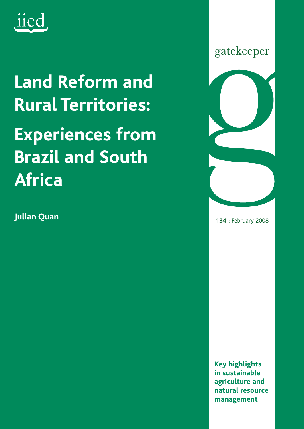

# **Land Reform and Rural Territories: Experiences from Brazil and South Africa**

**Julian Quan**



**134** : February 2008

**Key highlights in sustainable agriculture and natural resource management**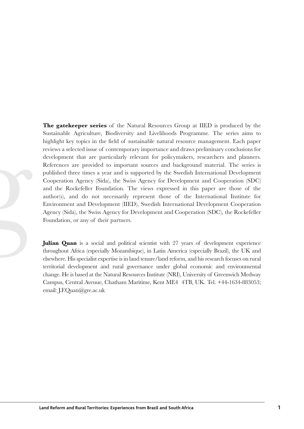**The gatekeeper series** of the Natural Resources Group at IIED is produced by the Sustainable Agriculture, Biodiversity and Livelihoods Programme. The series aims to highlight key topics in the field of sustainable natural resource management. Each paper reviews a selected issue of contemporary importance and draws preliminary conclusions for development that are particularly relevant for policymakers, researchers and planners. References are provided to important sources and background material. The series is published three times a year and is supported by the Swedish International Development Cooperation Agency (Sida), the Swiss Agency for Development and Cooperation (SDC) and the Rockefeller Foundation. The views expressed in this paper are those of the author(s), and do not necessarily represent those of the International Institute for Environment and Development (IIED), Swedish International Development Cooperation Agency (Sida), the Swiss Agency for Development and Cooperation (SDC), the Rockefeller Foundation, or any of their partners.

**Julian Quan** is a social and political scientist with 27 years of development experience throughout Africa (especially Mozambique), in Latin America (especially Brazil), the UK and elsewhere. His specialist expertise is in land tenure/land reform, and his research focuses on rural territorial development and rural governance under global economic and environmental change. He is based at the Natural Resources Institute (NRI), University of Greenwich Medway Campus, Central Avenue, Chatham Maritime, Kent ME4 4TB, UK. Tel. +44-1634-883053; email: J.F.Quan@gre.ac.uk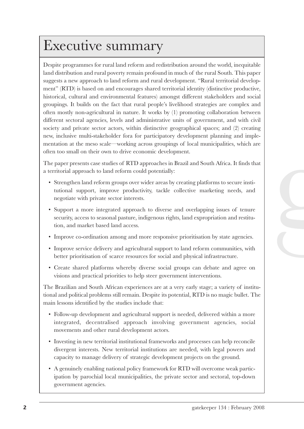## Executive summary

Despite programmes for rural land reform and redistribution around the world, inequitable land distribution and rural poverty remain profound in much of the rural South. This paper suggests a new approach to land reform and rural development. "Rural territorial development" (RTD) is based on and encourages shared territorial identity (distinctive productive, historical, cultural and environmental features) amongst different stakeholders and social groupings. It builds on the fact that rural people's livelihood strategies are complex and often mostly non-agricultural in nature. It works by (1) promoting collaboration between different sectoral agencies, levels and administrative units of government, and with civil society and private sector actors, within distinctive geographical spaces; and (2) creating new, inclusive multi-stakeholder fora for participatory development planning and implementation at the meso scale—working across groupings of local municipalities, which are often too small on their own to drive economic development.

The paper presents case studies of RTD approaches in Brazil and South Africa. It finds that a territorial approach to land reform could potentially:

- Strengthen land reform groups over wider areas by creating platforms to secure institutional support, improve productivity, tackle collective marketing needs, and negotiate with private sector interests.
- Support a more integrated approach to diverse and overlapping issues of tenure security, access to seasonal pasture, indigenous rights, land expropriation and restitution, and market based land access.
- Improve co-ordination among and more responsive prioritisation by state agencies.
- Improve service delivery and agricultural support to land reform communities, with better prioritisation of scarce resources for social and physical infrastructure.
- Create shared platforms whereby diverse social groups can debate and agree on visions and practical priorities to help steer government interventions.

The Brazilian and South African experiences are at a very early stage; a variety of institutional and political problems still remain. Despite its potential, RTD is no magic bullet. The main lessons identified by the studies include that:

- Follow-up development and agricultural support is needed, delivered within a more integrated, decentralised approach involving government agencies, social movements and other rural development actors.
- Investing in new territorial institutional frameworks and processes can help reconcile divergent interests. New territorial institutions are needed, with legal powers and capacity to manage delivery of strategic development projects on the ground.
- A genuinely enabling national policy framework for RTD will overcome weak participation by parochial local municipalities, the private sector and sectoral, top-down government agencies.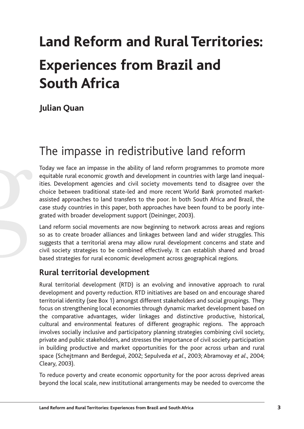# **Land Reform and Rural Territories: Experiences from Brazil and South Africa**

## **Julian Quan**

## The impasse in redistributive land reform

Today we face an impasse in the ability of land reform programmes to promote more equitable rural economic growth and development in countries with large land inequalities. Development agencies and civil society movements tend to disagree over the choice between traditional state-led and more recent World Bank promoted marketassisted approaches to land transfers to the poor. In both South Africa and Brazil, the case study countries in this paper, both approaches have been found to be poorly integrated with broader development support (Deininger, 2003).

Land reform social movements are now beginning to network across areas and regions so as to create broader alliances and linkages between land and wider struggles. This suggests that a territorial arena may allow rural development concerns and state and civil society strategies to be combined effectively. It can establish shared and broad based strategies for rural economic development across geographical regions.

## **Rural territorial development**

Rural territorial development (RTD) is an evolving and innovative approach to rural development and poverty reduction. RTD initiatives are based on and encourage shared territorial identity (see Box 1) amongst different stakeholders and social groupings. They focus on strengthening local economies through dynamic market development based on the comparative advantages, wider linkages and distinctive productive, historical, cultural and environmental features of different geographic regions. The approach involves socially inclusive and participatory planning strategies combining civil society, private and public stakeholders, and stresses the importance of civil society participation in building productive and market opportunities for the poor across urban and rural space (Schejtmann and Berdegué, 2002; Sepulveda *et al*., 2003; Abramovay *et al*., 2004; Cleary, 2003).

To reduce poverty and create economic opportunity for the poor across deprived areas beyond the local scale, new institutional arrangements may be needed to overcome the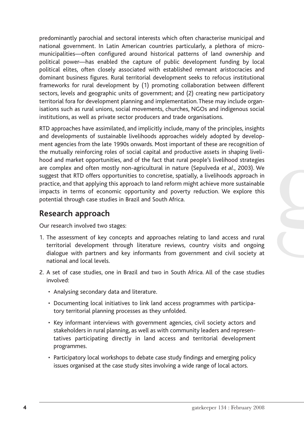predominantly parochial and sectoral interests which often characterise municipal and national government. In Latin American countries particularly, a plethora of micromunicipalities—often configured around historical patterns of land ownership and political power—has enabled the capture of public development funding by local political elites, often closely associated with established remnant aristocracies and dominant business figures. Rural territorial development seeks to refocus institutional frameworks for rural development by (1) promoting collaboration between different sectors, levels and geographic units of government; and (2) creating new participatory territorial fora for development planning and implementation.These may include organisations such as rural unions, social movements, churches, NGOs and indigenous social institutions, as well as private sector producers and trade organisations.

RTD approaches have assimilated, and implicitly include, many of the principles, insights and developments of sustainable livelihoods approaches widely adopted by development agencies from the late 1990s onwards. Most important of these are recognition of the mutually reinforcing roles of social capital and productive assets in shaping livelihood and market opportunities, and of the fact that rural people's livelihood strategies are complex and often mostly non-agricultural in nature (Sepulveda *et al*., 2003). We suggest that RTD offers opportunities to concretise, spatially, a livelihoods approach in practice, and that applying this approach to land reform might achieve more sustainable impacts in terms of economic opportunity and poverty reduction. We explore this potential through case studies in Brazil and South Africa.

## **Research approach**

Our research involved two stages:

- 1. The assessment of key concepts and approaches relating to land access and rural territorial development through literature reviews, country visits and ongoing dialogue with partners and key informants from government and civil society at national and local levels.
- 2. A set of case studies, one in Brazil and two in South Africa. All of the case studies involved:
	- Analysing secondary data and literature.
	- Documenting local initiatives to link land access programmes with participatory territorial planning processes as they unfolded.
	- Key informant interviews with government agencies, civil society actors and stakeholders in rural planning, as well as with community leaders and representatives participating directly in land access and territorial development programmes.
	- Participatory local workshops to debate case study findings and emerging policy issues organised at the case study sites involving a wide range of local actors.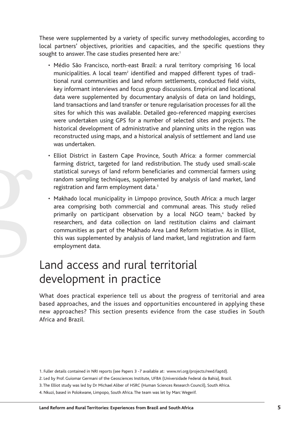These were supplemented by a variety of specific survey methodologies, according to local partners' objectives, priorities and capacities, and the specific questions they sought to answer. The case studies presented here are:<sup>1</sup>

- Médio São Francisco, north-east Brazil: a rural territory comprising 16 local municipalities. A local team<sup>2</sup> identified and mapped different types of traditional rural communities and land reform settlements, conducted field visits, key informant interviews and focus group discussions. Empirical and locational data were supplemented by documentary analysis of data on land holdings, land transactions and land transfer or tenure regularisation processes for all the sites for which this was available. Detailed geo-referenced mapping exercises were undertaken using GPS for a number of selected sites and projects. The historical development of administrative and planning units in the region was reconstructed using maps, and a historical analysis of settlement and land use was undertaken.
- Elliot District in Eastern Cape Province, South Africa: a former commercial farming district, targeted for land redistribution. The study used small-scale statistical surveys of land reform beneficiaries and commercial farmers using random sampling techniques, supplemented by analysis of land market, land registration and farm employment data.<sup>3</sup>
- Makhado local municipality in Limpopo province, South Africa: a much larger area comprising both commercial and communal areas. This study relied primarily on participant observation by a local NGO team,<sup>4</sup> backed by researchers, and data collection on land restitution claims and claimant communities as part of the Makhado Area Land Reform Initiative. As in Elliot, this was supplemented by analysis of land market, land registration and farm employment data.

## Land access and rural territorial development in practice

What does practical experience tell us about the progress of territorial and area based approaches, and the issues and opportunities encountered in applying these new approaches? This section presents evidence from the case studies in South Africa and Brazil.

<sup>1.</sup> Fuller details contained in NRI reports (see Papers 3 -7 available at: www.nri.org/projects/reed/laptd).

<sup>2.</sup> Led by Prof. Guiomar Germani of the Geosciences Institute, UFBA (Universidade Federal da Bahia), Brazil.

<sup>3.</sup> The Elliot study was led by Dr Michael Aliber of HSRC (Human Sciences Research Council), South Africa.

<sup>4.</sup> Nkuzi, based in Polokwane, Limpopo, South Africa. The team was let by Marc Wegerif.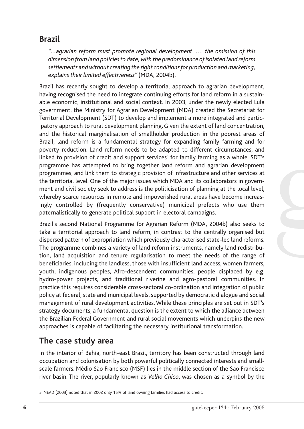## **Brazil**

*"…agrarian reform must promote regional development ….. the omission of this dimension from land policies to date, with the predominance of isolated land reform settlements and without creating the right conditions for production and marketing, explains their limited effectiveness"* (MDA, 2004b).

Brazil has recently sought to develop a territorial approach to agrarian development, having recognised the need to integrate continuing efforts for land reform in a sustainable economic, institutional and social context. In 2003, under the newly elected Lula government, the Ministry for Agrarian Development (MDA) created the Secretariat for Territorial Development (SDT) to develop and implement a more integrated and participatory approach to rural development planning. Given the extent of land concentration, and the historical marginalisation of smallholder production in the poorest areas of Brazil, land reform is a fundamental strategy for expanding family farming and for poverty reduction. Land reform needs to be adapted to different circumstances, and linked to provision of credit and support services<sup>5</sup> for family farming as a whole. SDT's programme has attempted to bring together land reform and agrarian development programmes, and link them to strategic provision of infrastructure and other services at the territorial level. One of the major issues which MDA and its collaborators in government and civil society seek to address is the politicisation of planning at the local level, whereby scarce resources in remote and impoverished rural areas have become increasingly controlled by (frequently conservative) municipal prefects who use them paternalistically to generate political support in electoral campaigns.

Brazil's second National Programme for Agrarian Reform (MDA, 2004b) also seeks to take a territorial approach to land reform, in contrast to the centrally organised but dispersed pattern of expropriation which previously characterised state-led land reforms. The programme combines a variety of land reform instruments, namely land redistribution, land acquisition and tenure regularisation to meet the needs of the range of beneficiaries, including the landless, those with insufficient land access, women farmers, youth, indigenous peoples, Afro-descendent communities, people displaced by e.g. hydro-power projects, and traditional riverine and agro-pastoral communities. In practice this requires considerable cross-sectoral co-ordination and integration of public policy at federal, state and municipal levels, supported by democratic dialogue and social management of rural development activities. While these principles are set out in SDT's strategy documents, a fundamental question is the extent to which the alliance between the Brazilian Federal Government and rural social movements which underpins the new approaches is capable of facilitating the necessary institutional transformation.

## **The case study area**

In the interior of Bahia, north-east Brazil, territory has been constructed through land occupation and colonisation by both powerful politically connected interests and smallscale farmers. Médio São Francisco (MSF) lies in the middle section of the São Francisco river basin. The river, popularly known as *Velho Chico*, was chosen as a symbol by the

<sup>5.</sup> NEAD (2003) noted that in 2002 only 15% of land owning families had access to credit.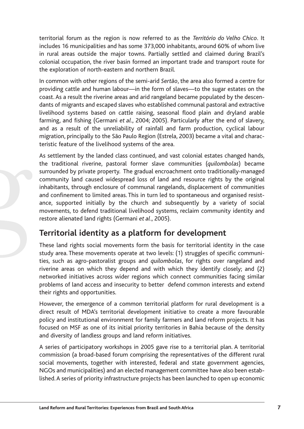territorial forum as the region is now referred to as the *Território do Velho Chico*. It includes 16 municipalities and has some 373,000 inhabitants, around 60% of whom live in rural areas outside the major towns. Partially settled and claimed during Brazil's colonial occupation, the river basin formed an important trade and transport route for the exploration of north-eastern and northern Brazil.

In common with other regions of the semi-arid *Sertão*, the area also formed a centre for providing cattle and human labour—in the form of slaves—to the sugar estates on the coast. As a result the riverine areas and arid rangeland became populated by the descendants of migrants and escaped slaves who established communal pastoral and extractive livelihood systems based on cattle raising, seasonal flood plain and dryland arable farming, and fishing (Germani *et al*., 2004; 2005). Particularly after the end of slavery, and as a result of the unreliability of rainfall and farm production, cyclical labour migration, principally to the São Paulo Region (Estrela, 2003) became a vital and characteristic feature of the livelihood systems of the area.

As settlement by the landed class continued, and vast colonial estates changed hands, the traditional riverine, pastoral former slave communities (*quilombolas*) became surrounded by private property. The gradual encroachment onto traditionally-managed community land caused widespread loss of land and resource rights by the original inhabitants, through enclosure of communal rangelands, displacement of communities and confinement to limited areas. This in turn led to spontaneous and organised resistance, supported initially by the church and subsequently by a variety of social movements, to defend traditional livelihood systems, reclaim community identity and restore alienated land rights (Germani *et al*., 2005).

## **Territorial identity as a platform for development**

These land rights social movements form the basis for territorial identity in the case study area. These movements operate at two levels: (1) struggles of specific communities, such as agro-pastoralist groups and *quilombolas*, for rights over rangeland and riverine areas on which they depend and with which they identify closely; and (2) networked initiatives across wider regions which connect communities facing similar problems of land access and insecurity to better defend common interests and extend their rights and opportunities.

However, the emergence of a common territorial platform for rural development is a direct result of MDA's territorial development initiative to create a more favourable policy and institutional environment for family farmers and land reform projects. It has focused on MSF as one of its initial priority territories in Bahia because of the density and diversity of landless groups and land reform initiatives.

A series of participatory workshops in 2005 gave rise to a territorial plan. A territorial commission (a broad-based forum comprising the representatives of the different rural social movements, together with interested, federal and state government agencies, NGOs and municipalities) and an elected management committee have also been established.A series of priority infrastructure projects has been launched to open up economic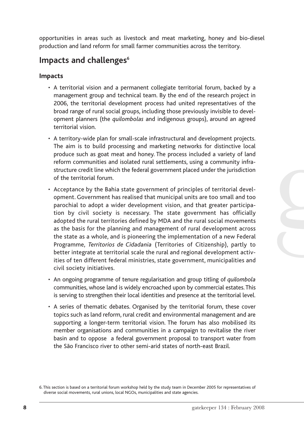opportunities in areas such as livestock and meat marketing, honey and bio-diesel production and land reform for small farmer communities across the territory.

## **Impacts and challenges**<sup>6</sup>

### **Impacts**

- A territorial vision and a permanent collegiate territorial forum, backed by a management group and technical team. By the end of the research project in 2006, the territorial development process had united representatives of the broad range of rural social groups, including those previously invisible to development planners (the *quilombolas* and indigenous groups), around an agreed territorial vision.
- A territory-wide plan for small-scale infrastructural and development projects. The aim is to build processing and marketing networks for distinctive local produce such as goat meat and honey. The process included a variety of land reform communities and isolated rural settlements, using a community infrastructure credit line which the federal government placed under the jurisdiction of the territorial forum.
- Acceptance by the Bahia state government of principles of territorial development. Government has realised that municipal units are too small and too parochial to adopt a wider development vision, and that greater participation by civil society is necessary. The state government has officially adopted the rural territories defined by MDA and the rural social movements as the basis for the planning and management of rural development across the state as a whole, and is pioneering the implementation of a new Federal Programme, *Territorios de Cidadania* (Territories of Citizenship), partly to better integrate at territorial scale the rural and regional development activities of ten different federal ministries, state government, municipalities and civil society initiatives.
- An ongoing programme of tenure regularisation and group titling of *quilombola* communities, whose land is widely encroached upon by commercial estates.This is serving to strengthen their local identities and presence at the territorial level.
- A series of thematic debates. Organised by the territorial forum, these cover topics such as land reform, rural credit and environmental management and are supporting a longer-term territorial vision. The forum has also mobilised its member organisations and communities in a campaign to revitalise the river basin and to oppose a federal government proposal to transport water from the São Francisco river to other semi-arid states of north-east Brazil.

<sup>6.</sup> This section is based on a territorial forum workshop held by the study team in December 2005 for representatives of diverse social movements, rural unions, local NGOs, municipalities and state agencies.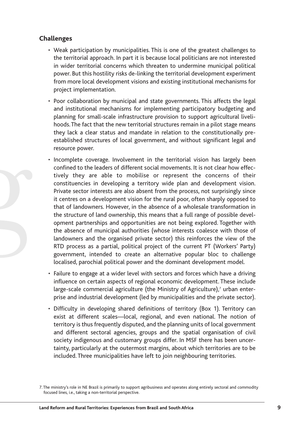### **Challenges**

- Weak participation by municipalities. This is one of the greatest challenges to the territorial approach. In part it is because local politicians are not interested in wider territorial concerns which threaten to undermine municipal political power. But this hostility risks de-linking the territorial development experiment from more local development visions and existing institutional mechanisms for project implementation.
- Poor collaboration by municipal and state governments. This affects the legal and institutional mechanisms for implementing participatory budgeting and planning for small-scale infrastructure provision to support agricultural livelihoods.The fact that the new territorial structures remain in a pilot stage means they lack a clear status and mandate in relation to the constitutionally preestablished structures of local government, and without significant legal and resource power.
- Incomplete coverage. Involvement in the territorial vision has largely been confined to the leaders of different social movements. It is not clear how effectively they are able to mobilise or represent the concerns of their constituencies in developing a territory wide plan and development vision. Private sector interests are also absent from the process, not surprisingly since it centres on a development vision for the rural poor, often sharply opposed to that of landowners. However, in the absence of a wholesale transformation in the structure of land ownership, this means that a full range of possible development partnerships and opportunities are not being explored. Together with the absence of municipal authorities (whose interests coalesce with those of landowners and the organised private sector) this reinforces the view of the RTD process as a partial, political project of the current PT (Workers' Party) government, intended to create an alternative popular bloc to challenge localised, parochial political power and the dominant development model.
- Failure to engage at a wider level with sectors and forces which have a driving influence on certain aspects of regional economic development. These include large-scale commercial agriculture (the Ministry of Agriculture), $<sup>7</sup>$  urban enter-</sup> prise and industrial development (led by municipalities and the private sector).
- Difficulty in developing shared definitions of territory (Box 1). Territory can exist at different scales—local, regional, and even national. The notion of territory is thus frequently disputed, and the planning units of local government and different sectoral agencies, groups and the spatial organisation of civil society indigenous and customary groups differ. In MSF there has been uncertainty, particularly at the outermost margins, about which territories are to be included. Three municipalities have left to join neighbouring territories.

<sup>7.</sup> The ministry's role in NE Brazil is primarily to support agribusiness and operates along entirely sectoral and commodity focused lines, i.e., taking a non-territorial perspective.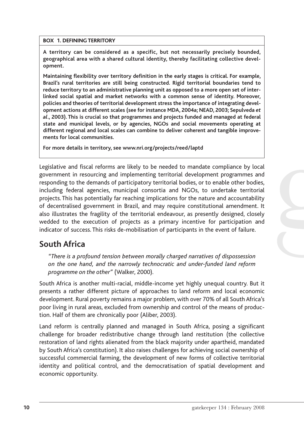#### **BOX 1. DEFINING TERRITORY**

**A territory can be considered as a specific, but not necessarily precisely bounded, geographical area with a shared cultural identity, thereby facilitating collective development.**

**Maintaining flexibility over territory definition in the early stages is critical. For example, Brazil's rural territories are still being constructed. Rigid territorial boundaries tend to reduce territory to an administrative planning unit as opposed to a more open set of interlinked social spatial and market networks with a common sense of identity. Moreover, policies and theories of territorial development stress the importance of integrating development actions at different scales (see for instance MDA, 2004a; NEAD, 2003; Sepulveda** *et al***., 2003). This is crucial so that programmes and projects funded and managed at federal state and municipal levels, or by agencies, NGOs and social movements operating at different regional and local scales can combine to deliver coherent and tangible improvements for local communities.**

**For more details in territory, see www.nri.org/projects/reed/laptd**

Legislative and fiscal reforms are likely to be needed to mandate compliance by local government in resourcing and implementing territorial development programmes and responding to the demands of participatory territorial bodies, or to enable other bodies, including federal agencies, municipal consortia and NGOs, to undertake territorial projects. This has potentially far reaching implications for the nature and accountability of decentralised government in Brazil, and may require constitutional amendment. It also illustrates the fragility of the territorial endeavour, as presently designed, closely wedded to the execution of projects as a primary incentive for participation and indicator of success. This risks de-mobilisation of participants in the event of failure.

## **South Africa**

*"There is a profound tension between morally charged narratives of dispossession on the one hand, and the narrowly technocratic and under-funded land reform programme on the other"* (Walker, 2000).

South Africa is another multi-racial, middle-income yet highly unequal country. But it presents a rather different picture of approaches to land reform and local economic development. Rural poverty remains a major problem, with over 70% of all South Africa's poor living in rural areas, excluded from ownership and control of the means of production. Half of them are chronically poor (Aliber, 2003).

Land reform is centrally planned and managed in South Africa, posing a significant challenge for broader redistributive change through land restitution (the collective restoration of land rights alienated from the black majority under apartheid, mandated by South Africa's constitution). It also raises challenges for achieving social ownership of successful commercial farming, the development of new forms of collective territorial identity and political control, and the democratisation of spatial development and economic opportunity.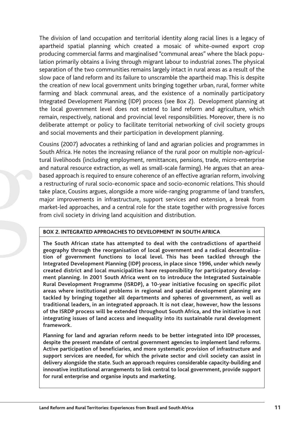The division of land occupation and territorial identity along racial lines is a legacy of apartheid spatial planning which created a mosaic of white-owned export crop producing commercial farms and marginalised "communal areas" where the black population primarily obtains a living through migrant labour to industrial zones. The physical separation of the two communities remains largely intact in rural areas as a result of the slow pace of land reform and its failure to unscramble the apartheid map. This is despite the creation of new local government units bringing together urban, rural, former white farming and black communal areas, and the existence of a nominally participatory Integrated Development Planning (IDP) process (see Box 2). Development planning at the local government level does not extend to land reform and agriculture, which remain, respectively, national and provincial level responsibilities. Moreover, there is no deliberate attempt or policy to facilitate territorial networking of civil society groups and social movements and their participation in development planning.

Cousins (2007) advocates a rethinking of land and agrarian policies and programmes in South Africa. He notes the increasing reliance of the rural poor on multiple non-agricultural livelihoods (including employment, remittances, pensions, trade, micro-enterprise and natural resource extraction, as well as small-scale farming). He argues that an areabased approach is required to ensure coherence of an effective agrarian reform, involving a restructuring of rural socio-economic space and socio-economic relations. This should take place, Cousins argues, alongside a more wide-ranging programme of land transfers, major improvements in infrastructure, support services and extension, a break from market-led approaches, and a central role for the state together with progressive forces from civil society in driving land acquisition and distribution.

#### **BOX 2. INTEGRATED APPROACHES TO DEVELOPMENT IN SOUTH AFRICA**

**The South African state has attempted to deal with the contradictions of apartheid geography through the reorganisation of local government and a radical decentralisation of government functions to local level. This has been tackled through the Integrated Development Planning (IDP) process, in place since 1996, under which newly created district and local municipalities have responsibility for participatory development planning. In 2001 South Africa went on to introduce the Integrated Sustainable Rural Development Programme (ISRDP), a 10-year initiative focusing on specific pilot areas where institutional problems in regional and spatial development planning are tackled by bringing together all departments and spheres of government, as well as traditional leaders, in an integrated approach. It is not clear, however, how the lessons of the ISRDP process will be extended throughout South Africa, and the initiative is not integrating issues of land access and inequality into its sustainable rural development framework.**

**Planning for land and agrarian reform needs to be better integrated into IDP processes, despite the present mandate of central government agencies to implement land reforms. Active participation of beneficiaries, and more systematic provision of infrastructure and support services are needed, for which the private sector and civil society can assist in delivery alongside the state. Such an approach requires considerable capacity-building and innovative institutional arrangements to link central to local government, provide support for rural enterprise and organise inputs and marketing.**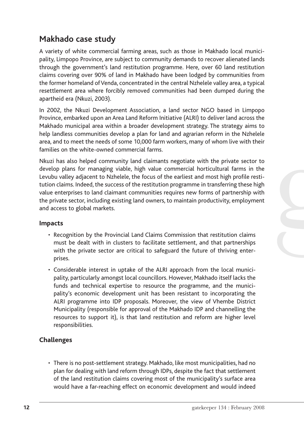## **Makhado case study**

A variety of white commercial farming areas, such as those in Makhado local municipality, Limpopo Province, are subject to community demands to recover alienated lands through the government's land restitution programme. Here, over 60 land restitution claims covering over 90% of land in Makhado have been lodged by communities from the former homeland of Venda, concentrated in the central Nzhelele valley area, a typical resettlement area where forcibly removed communities had been dumped during the apartheid era (Nkuzi, 2003).

In 2002, the Nkuzi Development Association, a land sector NGO based in Limpopo Province, embarked upon an Area Land Reform Initiative (ALRI) to deliver land across the Makhado municipal area within a broader development strategy. The strategy aims to help landless communities develop a plan for land and agrarian reform in the Nzhelele area, and to meet the needs of some 10,000 farm workers, many of whom live with their families on the white-owned commercial farms.

Nkuzi has also helped community land claimants negotiate with the private sector to develop plans for managing viable, high value commercial horticultural farms in the Levubu valley adjacent to Nzhelele, the focus of the earliest and most high profile restitution claims. Indeed, the success of the restitution programme in transferring these high value enterprises to land claimant communities requires new forms of partnership with the private sector, including existing land owners, to maintain productivity, employment and access to global markets.

### **Impacts**

- Recognition by the Provincial Land Claims Commission that restitution claims must be dealt with in clusters to facilitate settlement, and that partnerships with the private sector are critical to safeguard the future of thriving enterprises.
- Considerable interest in uptake of the ALRI approach from the local municipality, particularly amongst local councillors. However, Makhado itself lacks the funds and technical expertise to resource the programme, and the municipality's economic development unit has been resistant to incorporating the ALRI programme into IDP proposals. Moreover, the view of Vhembe District Municipality (responsible for approval of the Makhado IDP and channelling the resources to support it), is that land restitution and reform are higher level responsibilities.

### **Challenges**

• There is no post-settlement strategy. Makhado, like most municipalities, had no plan for dealing with land reform through IDPs, despite the fact that settlement of the land restitution claims covering most of the municipality's surface area would have a far-reaching effect on economic development and would indeed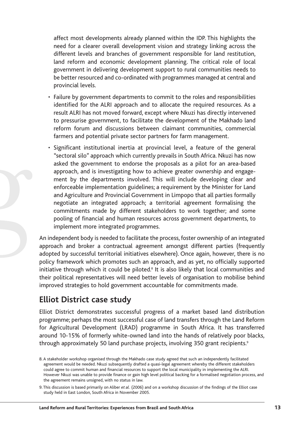affect most developments already planned within the IDP. This highlights the need for a clearer overall development vision and strategy linking across the different levels and branches of government responsible for land restitution, land reform and economic development planning. The critical role of local government in delivering development support to rural communities needs to be better resourced and co-ordinated with programmes managed at central and provincial levels.

- Failure by government departments to commit to the roles and responsibilities identified for the ALRI approach and to allocate the required resources. As a result ALRI has not moved forward, except where Nkuzi has directly intervened to pressurise government, to facilitate the development of the Makhado land reform forum and discussions between claimant communities, commercial farmers and potential private sector partners for farm management.
- Significant institutional inertia at provincial level, a feature of the general "sectoral silo" approach which currently prevails in South Africa. Nkuzi has now asked the government to endorse the proposals as a pilot for an area-based approach, and is investigating how to achieve greater ownership and engagement by the departments involved. This will include developing clear and enforceable implementation guidelines; a requirement by the Minister for Land and Agriculture and Provincial Government in Limpopo that all parties formally negotiate an integrated approach; a territorial agreement formalising the commitments made by different stakeholders to work together; and some pooling of financial and human resources across government departments, to implement more integrated programmes.

An independent body is needed to facilitate the process, foster ownership of an integrated approach and broker a contractual agreement amongst different parties (frequently adopted by successful territorial initiatives elsewhere). Once again, however, there is no policy framework which promotes such an approach, and as yet, no officially supported initiative through which it could be piloted.<sup>8</sup> It is also likely that local communities and their political representatives will need better levels of organisation to mobilise behind improved strategies to hold government accountable for commitments made.

## **Elliot District case study**

Elliot District demonstrates successful progress of a market based land distribution programme; perhaps the most successful case of land transfers through the Land Reform for Agricultural Development (LRAD) programme in South Africa. It has transferred around 10-15% of formerly white-owned land into the hands of relatively poor blacks, through approximately 50 land purchase projects, involving 350 grant recipients.<sup>9</sup>

<sup>8.</sup> A stakeholder workshop organised through the Makhado case study agreed that such an independently facilitated agreement would be needed. Nkuzi subsequently drafted a quasi-legal agreement whereby the different stakeholders could agree to commit human and financial resources to support the local municipality in implementing the ALRI. However Nkuzi was unable to provide finance or gain high level political backing for a formalised negotiation process, and the agreement remains unsigned, with no status in law.

<sup>9.</sup> This discussion is based primarily on Aliber *et al.* (2006) and on a workshop discussion of the findings of the Elliot case study held in East London, South Africa in November 2005.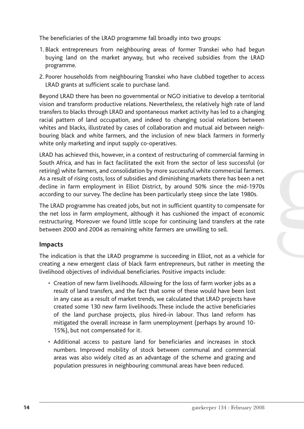The beneficiaries of the LRAD programme fall broadly into two groups:

- 1. Black entrepreneurs from neighbouring areas of former Transkei who had begun buying land on the market anyway, but who received subsidies from the LRAD programme.
- 2. Poorer households from neighbouring Transkei who have clubbed together to access LRAD grants at sufficient scale to purchase land.

Beyond LRAD there has been no governmental or NGO initiative to develop a territorial vision and transform productive relations. Nevertheless, the relatively high rate of land transfers to blacks through LRAD and spontaneous market activity has led to a changing racial pattern of land occupation, and indeed to changing social relations between whites and blacks, illustrated by cases of collaboration and mutual aid between neighbouring black and white farmers, and the inclusion of new black farmers in formerly white only marketing and input supply co-operatives.

LRAD has achieved this, however, in a context of restructuring of commercial farming in South Africa, and has in fact facilitated the exit from the sector of less successful (or retiring) white farmers, and consolidation by more successful white commercial farmers. As a result of rising costs, loss of subsidies and diminishing markets there has been a net decline in farm employment in Elliot District, by around 50% since the mid-1970s according to our survey. The decline has been particularly steep since the late 1980s.

The LRAD programme has created jobs, but not in sufficient quantity to compensate for the net loss in farm employment, although it has cushioned the impact of economic restructuring. Moreover we found little scope for continuing land transfers at the rate between 2000 and 2004 as remaining white farmers are unwilling to sell.

### **Impacts**

The indication is that the LRAD programme is succeeding in Elliot, not as a vehicle for creating a new emergent class of black farm entrepreneurs, but rather in meeting the livelihood objectives of individual beneficiaries. Positive impacts include:

- Creation of new farm livelihoods. Allowing for the loss of farm worker jobs as a result of land transfers, and the fact that some of these would have been lost in any case as a result of market trends, we calculated that LRAD projects have created some 130 new farm livelihoods. These include the active beneficiaries of the land purchase projects, plus hired-in labour. Thus land reform has mitigated the overall increase in farm unemployment (perhaps by around 10- 15%), but not compensated for it.
- Additional access to pasture land for beneficiaries and increases in stock numbers. Improved mobility of stock between communal and commercial areas was also widely cited as an advantage of the scheme and grazing and population pressures in neighbouring communal areas have been reduced.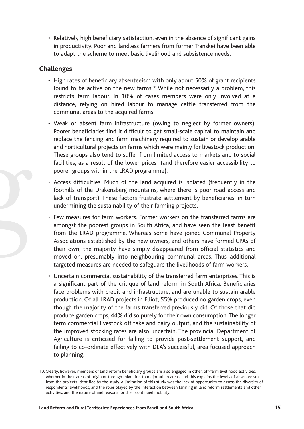• Relatively high beneficiary satisfaction, even in the absence of significant gains in productivity. Poor and landless farmers from former Transkei have been able to adapt the scheme to meet basic livelihood and subsistence needs.

### **Challenges**

- High rates of beneficiary absenteeism with only about 50% of grant recipients found to be active on the new farms.<sup>10</sup> While not necessarily a problem, this restricts farm labour. In 10% of cases members were only involved at a distance, relying on hired labour to manage cattle transferred from the communal areas to the acquired farms.
- Weak or absent farm infrastructure (owing to neglect by former owners). Poorer beneficiaries find it difficult to get small-scale capital to maintain and replace the fencing and farm machinery required to sustain or develop arable and horticultural projects on farms which were mainly for livestock production. These groups also tend to suffer from limited access to markets and to social facilities, as a result of the lower prices (and therefore easier accessibility to poorer groups within the LRAD programme).
- Access difficulties. Much of the land acquired is isolated (frequently in the foothills of the Drakensberg mountains, where there is poor road access and lack of transport). These factors frustrate settlement by beneficiaries, in turn undermining the sustainability of their farming projects.
- Few measures for farm workers. Former workers on the transferred farms are amongst the poorest groups in South Africa, and have seen the least benefit from the LRAD programme. Whereas some have joined Communal Property Associations established by the new owners, and others have formed CPAs of their own, the majority have simply disappeared from official statistics and moved on, presumably into neighbouring communal areas. Thus additional targeted measures are needed to safeguard the livelihoods of farm workers.
- Uncertain commercial sustainability of the transferred farm enterprises. This is a significant part of the critique of land reform in South Africa. Beneficiaries face problems with credit and infrastructure, and are unable to sustain arable production. Of all LRAD projects in Elliot, 55% produced no garden crops, even though the majority of the farms transferred previously did. Of those that did produce garden crops, 44% did so purely for their own consumption.The longer term commercial livestock off take and dairy output, and the sustainability of the improved stocking rates are also uncertain. The provincial Department of Agriculture is criticised for failing to provide post-settlement support, and failing to co-ordinate effectively with DLA's successful, area focused approach to planning.

<sup>10.</sup> Clearly, however, members of land reform beneficiary groups are also engaged in other, off-farm livelihood activities, whether in their areas of origin or through migration to major urban areas, and this explains the levels of absenteeism from the projects identified by the study. A limitation of this study was the lack of opportunity to assess the diversity of respondents' livelihoods, and the roles played by the interaction between farming in land reform settlements and other activities, and the nature of and reasons for their continued mobility.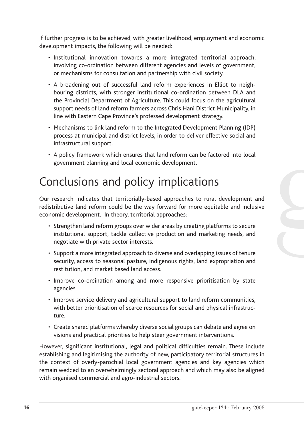If further progress is to be achieved, with greater livelihood, employment and economic development impacts, the following will be needed:

- Institutional innovation towards a more integrated territorial approach, involving co-ordination between different agencies and levels of government, or mechanisms for consultation and partnership with civil society.
- A broadening out of successful land reform experiences in Elliot to neighbouring districts, with stronger institutional co-ordination between DLA and the Provincial Department of Agriculture. This could focus on the agricultural support needs of land reform farmers across Chris Hani District Municipality, in line with Eastern Cape Province's professed development strategy.
- Mechanisms to link land reform to the Integrated Development Planning (IDP) process at municipal and district levels, in order to deliver effective social and infrastructural support.
- A policy framework which ensures that land reform can be factored into local government planning and local economic development.

## Conclusions and policy implications

Our research indicates that territorially-based approaches to rural development and redistributive land reform could be the way forward for more equitable and inclusive economic development. In theory, territorial approaches:

- Strengthen land reform groups over wider areas by creating platforms to secure institutional support, tackle collective production and marketing needs, and negotiate with private sector interests.
- Support a more integrated approach to diverse and overlapping issues of tenure security, access to seasonal pasture, indigenous rights, land expropriation and restitution, and market based land access.
- Improve co-ordination among and more responsive prioritisation by state agencies.
- Improve service delivery and agricultural support to land reform communities, with better prioritisation of scarce resources for social and physical infrastructure.
- Create shared platforms whereby diverse social groups can debate and agree on visions and practical priorities to help steer government interventions.

However, significant institutional, legal and political difficulties remain. These include establishing and legitimising the authority of new, participatory territorial structures in the context of overly-parochial local government agencies and key agencies which remain wedded to an overwhelmingly sectoral approach and which may also be aligned with organised commercial and agro-industrial sectors.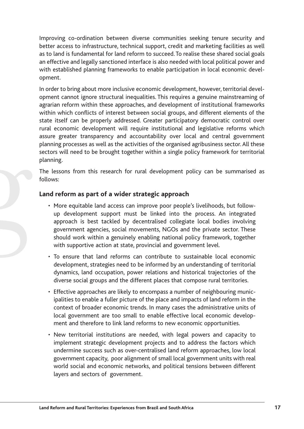Improving co-ordination between diverse communities seeking tenure security and better access to infrastructure, technical support, credit and marketing facilities as well as to land is fundamental for land reform to succeed. To realise these shared social goals an effective and legally sanctioned interface is also needed with local political power and with established planning frameworks to enable participation in local economic development.

In order to bring about more inclusive economic development, however, territorial development cannot ignore structural inequalities. This requires a genuine mainstreaming of agrarian reform within these approaches, and development of institutional frameworks within which conflicts of interest between social groups, and different elements of the state itself can be properly addressed. Greater participatory democratic control over rural economic development will require institutional and legislative reforms which assure greater transparency and accountability over local and central government planning processes as well as the activities of the organised agribusiness sector. All these sectors will need to be brought together within a single policy framework for territorial planning.

The lessons from this research for rural development policy can be summarised as follows:

#### **Land reform as part of a wider strategic approach**

- More equitable land access can improve poor people's livelihoods, but followup development support must be linked into the process. An integrated approach is best tackled by decentralised collegiate local bodies involving government agencies, social movements, NGOs and the private sector. These should work within a genuinely enabling national policy framework, together with supportive action at state, provincial and government level.
- To ensure that land reforms can contribute to sustainable local economic development, strategies need to be informed by an understanding of territorial dynamics, land occupation, power relations and historical trajectories of the diverse social groups and the different places that compose rural territories.
- Effective approaches are likely to encompass a number of neighbouring municipalities to enable a fuller picture of the place and impacts of land reform in the context of broader economic trends. In many cases the administrative units of local government are too small to enable effective local economic development and therefore to link land reforms to new economic opportunities.
- New territorial institutions are needed, with legal powers and capacity to implement strategic development projects and to address the factors which undermine success such as over-centralised land reform approaches, low local government capacity, poor alignment of small local government units with real world social and economic networks, and political tensions between different layers and sectors of government.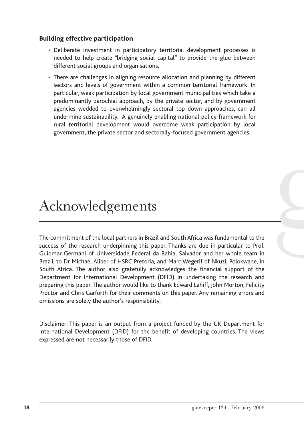#### **Building effective participation**

- Deliberate investment in participatory territorial development processes is needed to help create "bridging social capital" to provide the glue between different social groups and organisations.
- There are challenges in aligning resource allocation and planning by different sectors and levels of government within a common territorial framework. In particular, weak participation by local government municipalities which take a predominantly parochial approach, by the private sector, and by government agencies wedded to overwhelmingly sectoral top down approaches, can all undermine sustainability. A genuinely enabling national policy framework for rural territorial development would overcome weak participation by local government, the private sector and sectorally-focused government agencies.

## Acknowledgements

The commitment of the local partners in Brazil and South Africa was fundamental to the success of the research underpinning this paper. Thanks are due in particular to Prof. Guiomar Germani of Universidade Federal da Bahia, Salvador and her whole team in Brazil; to Dr Michael Aliber of HSRC Pretoria, and Marc Wegerif of Nkuzi, Polokwane, in South Africa. The author also gratefully acknowledges the financial support of the Department for International Development (DFID) in undertaking the research and preparing this paper. The author would like to thank Edward Lahiff, John Morton, Felicity Proctor and Chris Garforth for their comments on this paper. Any remaining errors and omissions are solely the author's responsibility.

Disclaimer: This paper is an output from a project funded by the UK Department for International Development (DFID) for the benefit of developing countries. The views expressed are not necessarily those of DFID.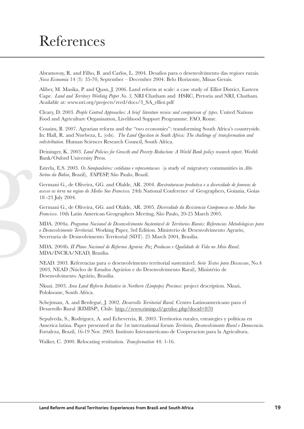## References

Abramovay, R. and Filho, B. and Carlos, L. 2004. Desafios para o desenvolvimento das regioes rurais. *Nova Economia* 14 (3): 35-70, September – December 2004. Belo Horizonte, Minas Gerais.

Aliber, M. Masika, P. and Quan, J. 2006. Land reform at scale: a case study of Elliot District, Eastern Cape. *Land and Territory Working Paper No. 3,* NRI Chatham and HSRC, Pretoria and NRI, Chatham. Available at: www.nri.org/projects/reed/docs/3\_SA\_elliot.pdf

Cleary, D. 2003. *People Centred Approaches: A brief literature review and comparison of types.* United Nations Food and Agriculture Organisation, Livelihood Support Programme. FAO, Rome.

Cousins, B. 2007. Agrarian reform and the "two economies": transforming South Africa's countryside. In: Hall, R. and Ntsebeza, L. (eds). *The Land Question in South Africa: The challenge of transformation and redistribution*. Human Sciences Research Council, South Africa.

Deininger, K. 2003. *Land Policies for Growth and Poverty Reduction: A World Bank policy research report*. World Bank/Oxford University Press.

Estrela, E.S. 2003. *Os Sampauleiros: cotidiano e representacoes* (a study of migratory communities in *Alto Sertao da Bahia*, Brazil), FAPESP, São Paulo, Brazil.

Germani G., de Oliveira, GG. and Olalde, AR. 2004. *Reestruturacao produtiva e a diversidade de fomreas de acesso as terra na regiao do Medio Sao Francisco.* 24th National Conference of Geographers, Goiania, Goias 18 -23 July 2004.

Germani G., de Oliveira, GG. and Olalde, AR. 2005. *Diversidade da Resistencia Camponesa no Medio Sao Francisco*. 10th Latin American Geographers Meeting, São Paulo, 20-25 March 2005.

MDA. 2004a. *Programa Nacional de Desenvolvimento Sustentavel de Territorios Rurais: Referencias Metodologicas para o Desnevolvimento Territorial*. Working Paper, 3rd Edition. Ministerio de Desenvolvimento Agrario, Secretaria de Desnvolvimento Territorial (SDT). 25 March 2004, Brasilia.

MDA. 2004b. *II Plano Nacional de Reforma Agraria: Paz Producao e Qualidade de Vida no Meio Rural*. MDA/INCRA/NEAD, Brasilia.

NEAD. 2003. Referencias para o desenvolvimento territorial sustentável. *Serie Textos para Discussao*, No.4 2003, NEAD (Núcleo de Estudos Agrários e do Desenvolvimento Rural), Ministério de Desenvolvimento Agrário, Brasilia.

Nkuzi. 2003. *Area Land Reform Initiative in Northern (Limpopo) Province*: project description. Nkuzi, Polokwane, South Africa.

Schejtman, A. and Berdegué, J. 2002. *Desarrollo Territorial Rural.* Centro Latinoamericano para el Desarrollo Rural (RIMISP), Chile. http://www.rimisp.cl/getdoc.php?docid=870

Sepulveda, S., Rodriguez, A. and Echeverria, R. 2003. Territorios rurales, estrategies y politicas en America latina. Paper presented at the 1st international forum *Territorio, Desenvolvimento Rural e Democracia.* Fortaleza, Brazil, 16-19 Nov. 2003. Instituto Interamericano de Cooperacion para la Agricultura.

Walker, C. 2000. Relocating restitution. *Transformation* 44: 1-16.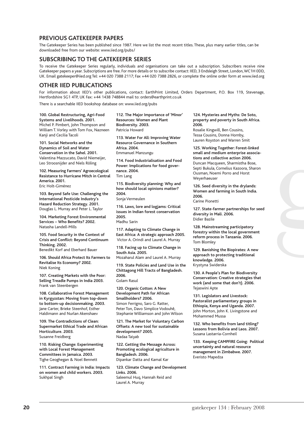#### **PREVIOUS GATEKEEPER PAPERS**

The Gatekeeper Series has been published since 1987. Here we list the most recent titles. These, plus many earlier titles, can be downloaded free from our website: www.iied.org/pubs/

#### **SUBSCRIBING TO THE GATEKEEPER SERIES**

To receive the Gatekeeper Series regularly, individuals and organisations can take out a subscription. Subscribers receive nine Gatekeeper papers a year. Subscriptions are free. For more details or to subscribe contact: IIED, 3 Endsleigh Street, London,WC1H 0DD, UK. Email gatekeeper@iied.org Tel: +44 020 7388 2117; Fax +44 020 7388 2826, or complete the online order form at www.iied.org

#### **OTHER IIED PUBLICATIONS**

For information about IIED's other publications, contact: EarthPrint Limited, Orders Department, P.O. Box 119, Stevenage, Hertfordshire SG1 4TP, UK Fax: +44 1438 748844 mail to: orders@earthprint.co.uk

There is a searchable IIED bookshop database on: www.iied.org/pubs

**100. Global Restructuring, Agri-Food Systems and Livelihoods. 2001.**  Michel P. Pimbert, John Thompson and William T. Vorley with Tom Fox, Nazneen Kanji and Cecilia Tacoli

**101. Social Networks and the Dynamics of Soil and Water Conservation in the Sahel. 2001.**  Valentina Mazzucato, David Niemeijer, Leo Stroosnijder and Niels Röling

**102. Measuring Farmers' Agroecological Resistance to Hurricane Mitch in Central America. 2001.**  Eric Holt-Giménez

**103. Beyond Safe Use: Challenging the International Pesticide Industry's Hazard Reduction Strategy. 2001.**  Douglas L. Murray and Peter L. Taylor

**104. Marketing Forest Environmental Services – Who Benefits? 2002.**  Natasha Landell-Mills

**105. Food Security in the Context of Crisis and Conflict: Beyond Continuum Thinking. 2002.** 

Benedikt Korf and Eberhard Bauer

**106. Should Africa Protect Its Farmers to Revitalise Its Economy? 2002.**  Niek Koning

**107. Creating Markets with the Poor: Selling Treadle Pumps in India 2003.**  Frank van Steenbergen

**108. Collaborative Forest Management in Kyrgyzstan: Moving from top-down to bottom-up decisionmaking. 2003.**  Jane Carter, Brieke Steenhof, Esther Haldimann and Nurlan Akenshaev

**109. The Contradictions of Clean: Supermarket Ethical Trade and African Horticulture. 2003.**  Susanne Freidberg

**110. Risking Change: Experimenting with Local Forest Management Committees in Jamaica. 2003.**  Tighe Geoghegan & Noel Bennett

**111. Contract Farming in India: Impacts on women and child workers. 2003.**  Sukhpal Singh

**112. The Major Importance of 'Minor' Resources: Women and Plant Biodiversity. 2003.**  Patricia Howard

**113. Water For All: Improving Water Resource Governance in Southern Africa. 2004.**  Emmanuel Manzungu

**114. Food Industrialisation and Food Power: Implications for food governance. 2004.**  Tim Lang

**115. Biodiversity planning: Why and how should local opinions matter? 2004.** 

Sonja Vermeulen

**116. Laws, lore and logjams: Critical issues in Indian forest conservation 2005.**  Madhu Sarin

**117. Adapting to Climate Change in East Africa: A strategic approach 2005.** Victor A. Orindi and Laurel A. Murray

**118. Facing up to Climate Change in South Asia. 2005.**  Mozaharul Alam and Laurel A. Murray

**119. State Policies and Land Use in the Chittagong Hill Tracts of Bangladesh. 2006.** 

Golam Rasul

**120. Organic Cotton: A New Development Path for African Smallholders? 2006.**  Simon Ferrigno, Saro G. Ratter, Peter Ton, Davo Simplice Vodouhê, Stephanie Williamson and John Wilson

**121. The Market for Voluntary Carbon Offsets: A new tool for sustainable development? 2005.**  Nadaa Taiyab

**122. Getting the Message Across: Promoting ecological agriculture in Bangladesh. 2006.**  Dipankar Datta and Kamal Kar

**123. Climate Change and Development Links. 2006.**  Saleemul Huq, Hannah Reid and Laurel A. Murray

**124. Mysteries and Myths: De Soto, property and poverty in South Africa. 2006.**  Rosalie Kingwill, Ben Cousins,

Tessa Cousins, Donna Hornby, Lauren Royston and Warren Smit

**125. Working Together: Forest-linked small and medium enterprise associations and collective action 2006.**  Duncan Macqueen, Sharmistha Bose, Septi Bukula, Cornelius Kazoora, Sharon Ousman, Noemi Porro and Horst Weyerhaeuser

**126. Seed diversity in the drylands: Women and farming in South India. 2006.**  Carine Pionetti

**127. State-farmer partnerships for seed diversity in Mali. 2006.**  Didier Bazile

**128. Mainstreaming participatory forestry within the local government reform process in Tanzania. 2006.**  Tom Blomley

**129. Banishing the Biopirates: A new approach to protecting traditional knowledge. 2006.**  Krystyna Swiderska

**130. A People's Plan for Biodiversity Conservation: Creative strategies that work (and some that don't). 2006.**  Tejaswini Apte

**131. Legislators and Livestock: Pastoralist parliamentary groups in Ethiopia, Kenya and Uganda. 2007.**  John Morton, John K. Livingstone and Mohammed Mussa

**132. Who benefits from land titling? Lessons from Bolivia and Laos. 2007.**  Susana Lastarria-Cornheil

**133. Keeping CAMPFIRE Going: Political uncertainty and natural resource management in Zimbabwe. 2007.** Everisto Mapedza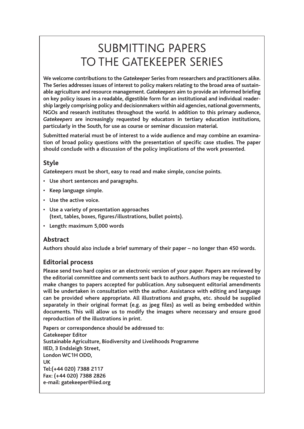## SUBMITTING PAPERS TO THE GATEKEEPER SERIES

**We welcome contributions to the** *Gatekeeper* **Series from researchers and practitioners alike. The Series addresses issues of interest to policy makers relating to the broad area of sustainable agriculture and resource management.** *Gatekeepers* **aim to provide an informed briefing on key policy issues in a readable, digestible form for an institutional and individual readership largely comprising policy and decisionmakers within aid agencies, national governments, NGOs and research institutes throughout the world. In addition to this primary audience,** *Gatekeepers* **are increasingly requested by educators in tertiary education institutions, particularly in the South, for use as course or seminar discussion material.**

**Submitted material must be of interest to a wide audience and may combine an examination of broad policy questions with the presentation of specific case studies. The paper should conclude with a discussion of the policy implications of the work presented.**

#### **Style**

*Gatekeepers* **must be short, easy to read and make simple, concise points.**

- **• Use short sentences and paragraphs.**
- **• Keep language simple.**
- **• Use the active voice.**
- **• Use a variety of presentation approaches (text, tables, boxes, figures/illustrations, bullet points).**
- **• Length: maximum 5,000 words**

#### **Abstract**

**Authors should also include a brief summary of their paper – no longer than 450 words.**

#### **Editorial process**

**Please send two hard copies or an electronic version of your paper. Papers are reviewed by the editorial committee and comments sent back to authors. Authors may be requested to make changes to papers accepted for publication. Any subsequent editorial amendments will be undertaken in consultation with the author. Assistance with editing and language can be provided where appropriate. All illustrations and graphs, etc. should be supplied separately in their original format (e.g. as jpeg files) as well as being embedded within documents. This will allow us to modify the images where necessary and ensure good reproduction of the illustrations in print.**

**Papers or correspondence should be addressed to: Gatekeeper Editor Sustainable Agriculture, Biodiversity and Livelihoods Programme IIED, 3 Endsleigh Street, London WC1H ODD, UK Tel:(+44 020) 7388 2117 Fax: (+44 020) 7388 2826 e-mail: gatekeeper@iied.org**